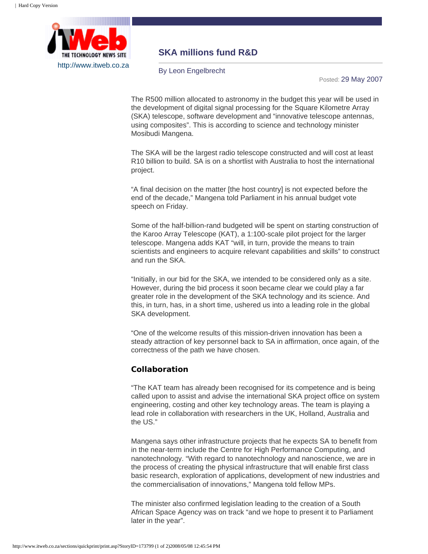

## **SKA millions fund R&D**

By Leon Engelbrecht

Posted: 29 May 2007

The R500 million allocated to astronomy in the budget this year will be used in the development of digital signal processing for the Square Kilometre Array (SKA) telescope, software development and "innovative telescope antennas, using composites". This is according to science and technology minister Mosibudi Mangena.

The SKA will be the largest radio telescope constructed and will cost at least R10 billion to build. SA is on a shortlist with Australia to host the international project.

"A final decision on the matter [the host country] is not expected before the end of the decade," Mangena told Parliament in his annual budget vote speech on Friday.

Some of the half-billion-rand budgeted will be spent on starting construction of the Karoo Array Telescope (KAT), a 1:100-scale pilot project for the larger telescope. Mangena adds KAT "will, in turn, provide the means to train scientists and engineers to acquire relevant capabilities and skills" to construct and run the SKA.

"Initially, in our bid for the SKA, we intended to be considered only as a site. However, during the bid process it soon became clear we could play a far greater role in the development of the SKA technology and its science. And this, in turn, has, in a short time, ushered us into a leading role in the global SKA development.

"One of the welcome results of this mission-driven innovation has been a steady attraction of key personnel back to SA in affirmation, once again, of the correctness of the path we have chosen.

## **Collaboration**

"The KAT team has already been recognised for its competence and is being called upon to assist and advise the international SKA project office on system engineering, costing and other key technology areas. The team is playing a lead role in collaboration with researchers in the UK, Holland, Australia and the US."

Mangena says other infrastructure projects that he expects SA to benefit from in the near-term include the Centre for High Performance Computing, and nanotechnology. "With regard to nanotechnology and nanoscience, we are in the process of creating the physical infrastructure that will enable first class basic research, exploration of applications, development of new industries and the commercialisation of innovations," Mangena told fellow MPs.

The minister also confirmed legislation leading to the creation of a South African Space Agency was on track "and we hope to present it to Parliament later in the year".